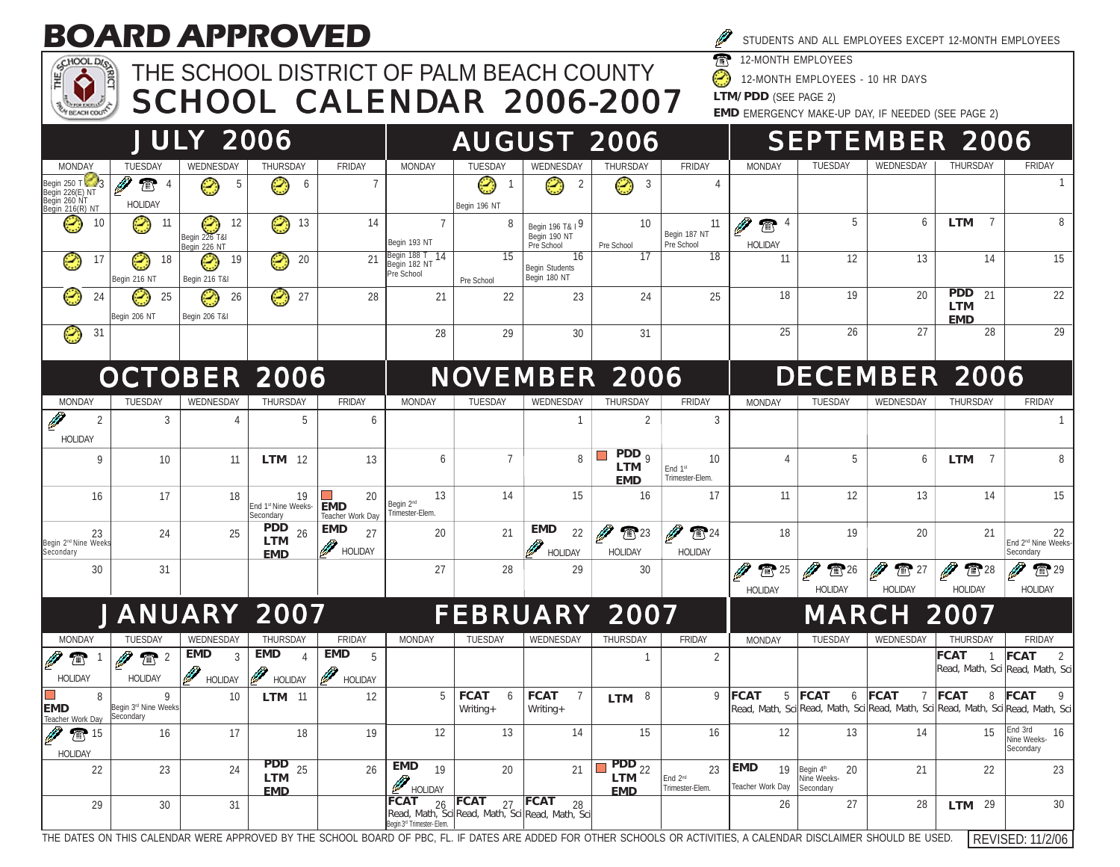## **BOARD APPROVED**



## THE SCHOOL DISTRICT OF PALM BEACH COUNTY SCHOOL CALENDAR 2006-2007

| STUDENTS AND ALL EMPLOYEES EXCEPT 12-MONTH EMPLOYEES |
|------------------------------------------------------|
| <b>TR</b> 12-MONTH EMPLOYEES                         |

Ø 12-MONTH EMPLOYEES - 10 HR DAYS

**LTM/PDD** (SEE PAGE 2)

**EMD** EMERGENCY MAKE-UP DAY, IF NEEDED (SEE PAGE 2)

|                                                                   |                                        | <b>JULY 2006</b>                        |                                              |                                      |                                                             |                                                                   |                                               | <b>AUGUST 2006</b>                                                                                    |                                              |                                             |                                             |                                       | <b>SEPTEMBER 2006</b>                        |                                                                                                     |
|-------------------------------------------------------------------|----------------------------------------|-----------------------------------------|----------------------------------------------|--------------------------------------|-------------------------------------------------------------|-------------------------------------------------------------------|-----------------------------------------------|-------------------------------------------------------------------------------------------------------|----------------------------------------------|---------------------------------------------|---------------------------------------------|---------------------------------------|----------------------------------------------|-----------------------------------------------------------------------------------------------------|
| <b>MONDAY</b>                                                     | TUESDAY                                | WEDNESDAY                               | THURSDAY                                     | FRIDAY                               | MONDAY                                                      | TUESDAY                                                           | WEDNESDAY                                     | THURSDAY                                                                                              | FRIDAY                                       | <b>MONDAY</b>                               | <b>TUESDAY</b>                              | WEDNESDAY                             | <b>THURSDAY</b>                              | FRIDAY                                                                                              |
| Begin 250 T<br>Begin 226(E) NT<br>Begin 260 NT<br>Begin 216(R) NT | Ø<br>$\mathbb{T}$<br><b>HOLIDAY</b>    | 5<br>٢                                  | Ø<br>6                                       | $\overline{7}$                       |                                                             | ☺<br>Begin 196 NT                                                 | $\overline{2}$<br>۳                           | 3<br>۳                                                                                                | 4                                            |                                             |                                             |                                       |                                              |                                                                                                     |
| ☺<br>10                                                           | Ø,<br>$-11$                            | -12<br>$Begin 226$ T&I<br>Begin 226 NT  | Ø<br>13                                      | 14                                   | $\overline{7}$<br>Begin 193 NT                              | 8                                                                 | Begin 196 T& 19<br>Begin 190 NT<br>Pre School | 10<br>Pre School                                                                                      | 11<br>Begin 187 NT<br>Pre School             | $\mathbb{Z}$ <sup>4</sup><br><b>HOLIDAY</b> | 5                                           | 6                                     | $\overline{7}$<br>LTM                        |                                                                                                     |
| 17<br>Ø                                                           | Ø,<br>18<br>Begin 216 NT               | Ø,<br>19<br>Begin 216 T&I               | Ø,<br>20                                     | 21                                   | Begin 188 T 14<br>Begin 182 NT<br>Pre School                | $\overline{15}$<br>Pre School                                     | 16<br><b>Begin Students</b><br>Begin 180 NT   | 17                                                                                                    | $\overline{18}$                              | 11                                          | 12                                          | 13                                    | 14                                           | 15                                                                                                  |
| Ø<br>24                                                           | Ø<br>25<br>Begin 206 NT                | ☺<br>26<br>Begin 206 T&I                | Ø<br>27                                      | 28                                   | 21                                                          | 22                                                                | 23                                            | 24                                                                                                    | 25                                           | 18                                          | 19                                          | 20                                    | <b>PDD</b><br>21<br><b>LTM</b><br><b>EMD</b> | 22                                                                                                  |
| ☺<br>31                                                           |                                        |                                         |                                              |                                      | 28                                                          | 29                                                                | 30                                            | 31                                                                                                    |                                              | 25                                          | 26                                          | 27                                    | 28                                           | 29                                                                                                  |
|                                                                   | <b>OCTOBER 2006</b>                    |                                         |                                              |                                      |                                                             | <b>NOVEMBER 2006</b>                                              |                                               |                                                                                                       |                                              |                                             |                                             |                                       | <b>DECEMBER 2006</b>                         |                                                                                                     |
| <b>MONDAY</b>                                                     | TUESDAY                                | WEDNESDAY                               | THURSDAY                                     | <b>FRIDAY</b>                        | <b>MONDAY</b>                                               | <b>TUFSDAY</b>                                                    | WEDNESDAY                                     | THURSDAY                                                                                              | <b>FRIDAY</b>                                | <b>MONDAY</b>                               | TUESDAY                                     | WEDNESDAY                             | THURSDAY                                     | FRIDAY                                                                                              |
| $\overline{2}$<br><b>HOLIDAY</b>                                  | 3                                      | $\Delta$                                | 5                                            | 6                                    |                                                             |                                                                   | $\mathbf{1}$                                  | 2                                                                                                     | 3                                            |                                             |                                             |                                       |                                              |                                                                                                     |
| 9                                                                 | 10 <sup>1</sup>                        | 11                                      | $LTM$ 12                                     | 13                                   | 6                                                           | $\overline{7}$                                                    | 8                                             | $PDD_0$<br><b>LTM</b><br><b>EMD</b>                                                                   | 10<br>End 1st<br>Trimester-Elem.             | 4                                           | 5                                           | 6                                     | $\overline{7}$<br>LTM                        |                                                                                                     |
| 16                                                                | 17                                     | 18                                      | 19<br>End 1st Nine Weeks-<br>Secondary       | 20<br><b>EMD</b><br>Teacher Work Day | 13<br>Begin 2 <sup>nd</sup><br>Trimester-Elem.              | 14                                                                | 15                                            | 16                                                                                                    | 17                                           | 11                                          | 12                                          | 13                                    | 14                                           | 15                                                                                                  |
| 23<br>Begin 2 <sup>nd</sup> Nine Weeks<br>Secondary               | 24                                     | 25                                      | <b>PDD</b><br>26<br><b>LTM</b><br><b>EMD</b> | <b>EMD</b><br>27<br>HOLIDAY          | 20                                                          | 21                                                                | <b>EMD</b><br>22<br><b>HOLIDAY</b>            | Ø<br>$\sum$ 23<br><b>HOLIDAY</b>                                                                      | Ø<br>$\sum 24$<br><b>HOLIDAY</b>             | 18                                          | 19                                          | 20                                    | 21                                           | 22<br>End 2 <sup>nd</sup> Nine Weeks-<br>Secondary                                                  |
| 30                                                                | 31                                     |                                         |                                              |                                      | 27                                                          | 28                                                                | 29                                            | 30                                                                                                    |                                              | ☎ 25<br><b>HOLIDAY</b>                      | $\sum$ 26<br><b>HOI IDAY</b>                | $\mathbb{T}$<br>27<br><b>HOI IDAY</b> | $\sqrt{28}$<br><b>HOI IDAY</b>               | $\sum$ 29<br><b>HOLIDAY</b>                                                                         |
|                                                                   | <b>JANUARY 2007</b>                    |                                         |                                              |                                      |                                                             | <b>FEBRUARY 2007</b>                                              |                                               |                                                                                                       |                                              |                                             |                                             | <b>MARCH 2007</b>                     |                                              |                                                                                                     |
| <b>MONDAY</b>                                                     | TUESDAY                                | WEDNESDAY                               | <b>THURSDAY</b>                              | FRIDAY                               | <b>MONDAY</b>                                               | <b>TUESDAY</b>                                                    | WEDNESDAY                                     | THURSDAY                                                                                              | <b>FRIDAY</b>                                | <b>MONDAY</b>                               | <b>TUESDAY</b>                              | WEDNESDAY                             | THURSDAY                                     | FRIDAY                                                                                              |
| $\widehat{\mathbb{T}}$                                            | $\mathbf{T}$<br><b>I</b>               | <b>EMD</b><br>$\mathcal{R}$             | <b>EMD</b><br>$\Delta$                       | <b>EMD</b><br>5                      |                                                             |                                                                   |                                               | $\mathbf{1}$                                                                                          | $\overline{2}$                               |                                             |                                             |                                       | <b>FCAT</b><br>$\mathbf{1}$                  | <b>FCAT</b><br>$\overline{2}$<br>Read, Math, Sci Read, Math, Sci                                    |
| <b>HOLIDAY</b>                                                    | <b>HOLIDAY</b>                         | <b>September 1997</b><br><b>HOLIDAY</b> | <b>DES</b><br>HOLIDAY                        | <b>FOLIDAY</b>                       |                                                             |                                                                   |                                               |                                                                                                       |                                              |                                             |                                             |                                       |                                              |                                                                                                     |
| $\mathsf{R}$<br><b>EMD</b><br>Teacher Work Day                    | 9<br>Begin 3rd Nine Weeks<br>Secondary | 10                                      | <b>LTM</b> 11                                | 12                                   | 5                                                           | <b>FCAT</b><br>6<br>$Writing +$                                   | <b>FCAT</b><br>$\overline{7}$<br>Writing+     | LTM $8$                                                                                               | $\mathsf Q$                                  | <b>FCAT</b><br>5                            | <b>FCAT</b><br>6                            | <b>FCAT</b><br>$\overline{7}$         | <b>FCAT</b><br>8                             | <b>FCAT</b><br>9<br>Read, Math, Sci Read, Math, Sci Read, Math, Sci Read, Math, Sci Read, Math, Sci |
| ☎ 15<br><b>HOLIDAY</b>                                            | 16                                     | 17                                      | 18                                           | 19                                   | 12                                                          | 13                                                                | 14                                            | 15                                                                                                    | 16                                           | 12                                          | 13                                          | 14                                    | 15                                           | End 3rd<br>16<br>Nine Weeks-<br>Secondary                                                           |
| 22                                                                | 23                                     | 24                                      | <b>PDD</b><br>25<br><b>LTM</b><br><b>EMD</b> | 26                                   | <b>EMD</b><br>19<br>HOLIDAY                                 | 20                                                                | 21                                            | $\begin{array}{ c c }\n\hline\n\text{PDD} & 22 \\ \hline\n\text{LTM} & 22\n\end{array}$<br><b>EMD</b> | 23<br>End 2 <sup>nd</sup><br>Trimester-Elem. | <b>EMD</b><br>19<br>Teacher Work Day        | 20<br>Begin 4th<br>Nine Weeks-<br>Secondarv | 21                                    | 22                                           | 23                                                                                                  |
| 29                                                                | 30                                     | 31                                      |                                              |                                      | <b>FCAT</b><br>26<br>Begin 3 <sup>rd</sup> Trimester- Elem. | $FCAT$ 27 FCAT<br>Read, Math, Sci Read, Math, Sci Read, Math, Sci | 28                                            |                                                                                                       |                                              | 26                                          | 27                                          | 28                                    | $LTM$ 29                                     | 30                                                                                                  |

THE DATES ON THIS CALENDAR WERE APPROVED BY THE SCHOOL BOARD OF PBC, FL. IF DATES ARE ADDED FOR OTHER SCHOOLS OR ACTIVITIES, A CALENDAR DISCLAIMER SHOULD BE USED. REVISED: 11/2/06